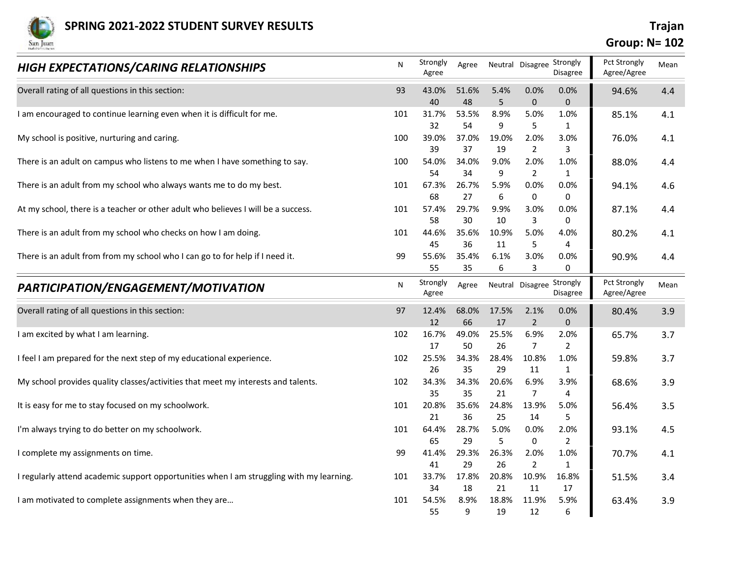

## Group: N= 102

| <b>SPRING 2021-2022 STUDENT SURVEY RESULTS</b><br>San Juan                               |           |                   |             |             |                           |                        | <b>Group: N= 102</b>        | <b>Trajan</b> |
|------------------------------------------------------------------------------------------|-----------|-------------------|-------------|-------------|---------------------------|------------------------|-----------------------------|---------------|
| HIGH EXPECTATIONS/CARING RELATIONSHIPS                                                   | ${\sf N}$ | Strongly<br>Agree | Agree       |             | Neutral Disagree Strongly | Disagree               | Pct Strongly<br>Agree/Agree | Mean          |
| Overall rating of all questions in this section:                                         | 93        | 43.0%             | 51.6%       | 5.4%        | 0.0%                      | 0.0%                   | 94.6%                       | 4.4           |
| I am encouraged to continue learning even when it is difficult for me.                   | 101       | 40<br>31.7%       | 48<br>53.5% | 5<br>8.9%   | $\mathbf{0}$<br>5.0%      | $\mathbf{0}$<br>1.0%   | 85.1%                       | 4.1           |
| My school is positive, nurturing and caring.                                             | 100       | 32<br>39.0%       | 54<br>37.0% | 9<br>19.0%  | 5<br>2.0%                 | $\mathbf{1}$<br>3.0%   | 76.0%                       | 4.1           |
| There is an adult on campus who listens to me when I have something to say.              | 100       | 39<br>54.0%       | 37<br>34.0% | 19<br>9.0%  | $\overline{2}$<br>2.0%    | 3<br>1.0%              | 88.0%                       | 4.4           |
|                                                                                          |           | 54<br>67.3%       | 34<br>26.7% | 9<br>5.9%   | 2<br>0.0%                 | 1<br>0.0%              |                             |               |
| There is an adult from my school who always wants me to do my best.                      | 101       | 68                | 27          | 6           | 0                         | $\mathbf 0$            | 94.1%                       | 4.6           |
| At my school, there is a teacher or other adult who believes I will be a success.        | 101       | 57.4%<br>58       | 29.7%<br>30 | 9.9%<br>10  | 3.0%<br>3                 | 0.0%<br>0              | 87.1%                       | 4.4           |
| There is an adult from my school who checks on how I am doing.                           | 101       | 44.6%             | 35.6%       | 10.9%       | 5.0%                      | 4.0%                   | 80.2%                       | 4.1           |
| There is an adult from from my school who I can go to for help if I need it.             | 99        | 45<br>55.6%       | 36<br>35.4% | 11<br>6.1%  | 5<br>3.0%                 | 4<br>0.0%              | 90.9%                       | 4.4           |
|                                                                                          |           | 55                | 35          | 6           | 3                         | 0                      |                             |               |
| PARTICIPATION/ENGAGEMENT/MOTIVATION                                                      | N         | Strongly<br>Agree | Agree       |             | Neutral Disagree          | Strongly<br>Disagree   | Pct Strongly<br>Agree/Agree | Mean          |
| Overall rating of all questions in this section:                                         | 97        | 12.4%             | 68.0%       | 17.5%       | 2.1%                      | 0.0%                   | 80.4%                       | 3.9           |
| I am excited by what I am learning.                                                      | 102       | 12<br>16.7%       | 66<br>49.0% | 17<br>25.5% | 2<br>6.9%                 | $\mathbf{0}$<br>2.0%   | 65.7%                       | 3.7           |
| I feel I am prepared for the next step of my educational experience.                     | 102       | 17<br>25.5%       | 50<br>34.3% | 26<br>28.4% | $\overline{7}$<br>10.8%   | $\overline{2}$<br>1.0% |                             |               |
|                                                                                          |           | 26                | 35          | 29          | 11                        | $\mathbf{1}$           | 59.8%                       | 3.7           |
| My school provides quality classes/activities that meet my interests and talents.        | 102       | 34.3%<br>35       | 34.3%<br>35 | 20.6%<br>21 | 6.9%<br>$\overline{7}$    | 3.9%<br>$\overline{4}$ | 68.6%                       | 3.9           |
| It is easy for me to stay focused on my schoolwork.                                      | 101       | 20.8%             | 35.6%       | 24.8%       | 13.9%                     | 5.0%                   | 56.4%                       | 3.5           |
| I'm always trying to do better on my schoolwork.                                         | 101       | 21<br>64.4%       | 36<br>28.7% | 25<br>5.0%  | 14<br>0.0%                | 5<br>2.0%              | 93.1%                       | 4.5           |
|                                                                                          |           | 65                | 29          | 5           | 0                         | $\overline{2}$         |                             |               |
| I complete my assignments on time.                                                       | 99        | 41.4%<br>41       | 29.3%<br>29 | 26.3%<br>26 | 2.0%<br>$\overline{2}$    | 1.0%<br>1              | 70.7%                       | 4.1           |
| I regularly attend academic support opportunities when I am struggling with my learning. | 101       | 33.7%             | 17.8%       | 20.8%       | 10.9%                     | 16.8%                  | 51.5%                       | 3.4           |
| I am motivated to complete assignments when they are                                     | 101       | 34<br>54.5%       | 18<br>8.9%  | 21<br>18.8% | 11<br>11.9%               | 17<br>5.9%             | 63.4%                       | 3.9           |
|                                                                                          |           | 55                | 9           | 19          | 12                        | 6                      |                             |               |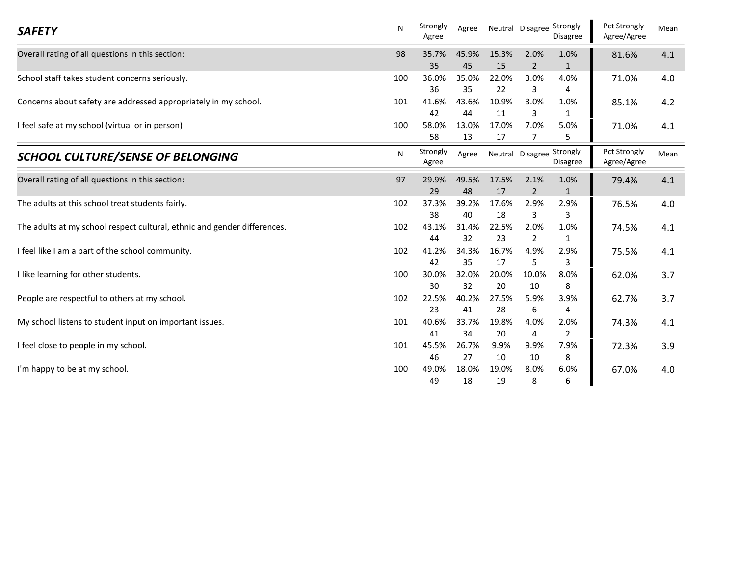| <b>SAFETY</b>                                                            | N   | Strongly<br>Agree | Agree       | Neutral Disagree Strongly |                | Disagree               | Agree/Agree                                                                                            | Mean |
|--------------------------------------------------------------------------|-----|-------------------|-------------|---------------------------|----------------|------------------------|--------------------------------------------------------------------------------------------------------|------|
| Overall rating of all questions in this section:                         | 98  | 35.7%             | 45.9%       | 15.3%                     | 2.0%           | 1.0%                   | 81.6%                                                                                                  | 4.1  |
|                                                                          |     | 35                | 45          | 15                        | $\overline{2}$ | 1                      |                                                                                                        |      |
| School staff takes student concerns seriously.                           | 100 | 36.0%             | 35.0%       | 22.0%                     | 3.0%           | 4.0%<br>$\overline{a}$ |                                                                                                        | 4.0  |
| Concerns about safety are addressed appropriately in my school.          | 101 | 36<br>41.6%       | 35<br>43.6% | 22<br>10.9%               | 3<br>3.0%      | 1.0%                   |                                                                                                        | 4.2  |
|                                                                          |     | 42                | 44          | 11                        | 3              | $\mathbf{1}$           |                                                                                                        |      |
| I feel safe at my school (virtual or in person)                          | 100 | 58.0%             | 13.0%       | 17.0%                     | 7.0%           | 5.0%                   | 71.0%                                                                                                  | 4.1  |
|                                                                          |     | 58                | 13          | 17                        | $\overline{7}$ | 5                      |                                                                                                        |      |
| <b>SCHOOL CULTURE/SENSE OF BELONGING</b>                                 | N   | Strongly<br>Agree | Agree       | Neutral Disagree Strongly |                | Disagree               | Pct Strongly<br>Agree/Agree                                                                            | Mean |
| Overall rating of all questions in this section:                         | 97  | 29.9%             | 49.5%       | 17.5%                     | 2.1%           | 1.0%                   | 79.4%                                                                                                  | 4.1  |
|                                                                          |     | 29                | 48          | 17                        | $\mathcal{P}$  | -1                     |                                                                                                        |      |
| The adults at this school treat students fairly.                         | 102 | 37.3%             | 39.2%       | 17.6%                     | 2.9%           | 2.9%                   |                                                                                                        | 4.0  |
| The adults at my school respect cultural, ethnic and gender differences. | 102 | 38<br>43.1%       | 40<br>31.4% | 18<br>22.5%               | 3<br>2.0%      | 3<br>1.0%              |                                                                                                        | 4.1  |
|                                                                          |     | 44                | 32          | 23                        | $\overline{2}$ | $\mathbf{1}$           | Pct Strongly<br>71.0%<br>85.1%<br>76.5%<br>74.5%<br>75.5%<br>62.0%<br>62.7%<br>74.3%<br>72.3%<br>67.0% |      |
| I feel like I am a part of the school community.                         | 102 | 41.2%             | 34.3%       | 16.7%                     | 4.9%           | 2.9%                   |                                                                                                        | 4.1  |
|                                                                          |     | 42                | 35          | 17                        | 5              | 3                      |                                                                                                        |      |
| I like learning for other students.                                      | 100 | 30.0%             | 32.0%       | 20.0%                     | 10.0%          | 8.0%                   |                                                                                                        | 3.7  |
|                                                                          |     | 30                | 32          | 20                        | 10             | 8                      |                                                                                                        |      |
| People are respectful to others at my school.                            | 102 | 22.5%<br>23       | 40.2%<br>41 | 27.5%<br>28               | 5.9%           | 3.9%<br>4              |                                                                                                        | 3.7  |
| My school listens to student input on important issues.                  | 101 | 40.6%             | 33.7%       | 19.8%                     | 6<br>4.0%      | 2.0%                   |                                                                                                        | 4.1  |
|                                                                          |     | 41                | 34          | 20                        | 4              | $\overline{2}$         |                                                                                                        |      |
| I feel close to people in my school.                                     | 101 | 45.5%             | 26.7%       | 9.9%                      | 9.9%           | 7.9%                   |                                                                                                        | 3.9  |
|                                                                          |     | 46                | 27          | 10                        | 10             | 8                      |                                                                                                        |      |
|                                                                          |     |                   |             |                           |                |                        |                                                                                                        |      |
| I'm happy to be at my school.                                            | 100 | 49.0%<br>49       | 18.0%<br>18 | 19.0%<br>19               | 8.0%<br>8      | 6.0%<br>6              |                                                                                                        | 4.0  |